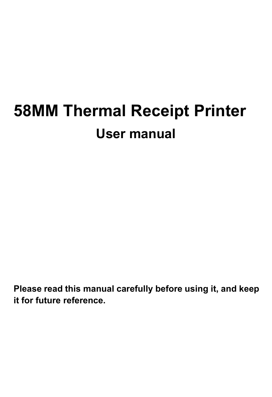**Please read this manual carefully before using it, and keep it for future reference.**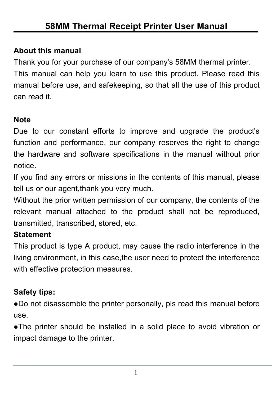#### **About this manual**

Thank you for your purchase of our company's 58MM thermal printer. This manual can help you learn to use this product. Please read this manual before use, and safekeeping, so that all the use of this product can read it.

#### **Note**

Due to our constant efforts to improve and upgrade the product's function and performance, our company reserves the right to change the hardware and software specifications in the manual without prior notice.

If you find any errors or missions in the contents of this manual, please tell us or our agent,thank you very much.

Without the prior written permission of our company, the contents of the relevant manual attached to the product shall not be reproduced, transmitted, transcribed, stored, etc.

#### **Statement**

This product is type A product, may cause the radio interference in the living environment, in this case,the user need to protect the interference with effective protection measures.

#### **Safety tips:**

●Do not disassemble the printer personally, pls read this manual before use.

●The printer should be installed in a solid place to avoid vibration or impact damage to the printer.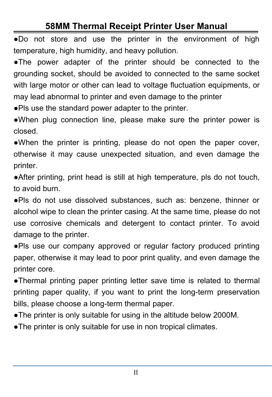●Do not store and use the printer in the environment of high temperature, high humidity, and heavy pollution.

●The power adapter of the printer should be connected to the grounding socket, should be avoided to connected to the same socket with large motor or other can lead to voltage fluctuation equipments, or may lead abnormal to printer and even damage to the printer

●Pls use the standard power adapter to the printer.

●When plug connection line, please make sure the printer power is closed.

●When the printer is printing, please do not open the paper cover, otherwise it may cause unexpected situation, and even damage the printer.

●After printing, print head is still at high temperature, pls do not touch, to avoid burn.

●Pls do not use dissolved substances, such as: benzene, thinner or alcohol wipe to clean the printer casing. At the same time, please do not use corrosive chemicals and detergent to contact printer. To avoid damage to the printer.

●Pls use our company approved or regular factory produced printing paper, otherwise it may lead to poor print quality, and even damage the printer core.

●Thermal printing paper printing letter save time is related to thermal printing paper quality, if you want to print the long-term preservation bills, please choose a long-term thermal paper.

●The printer is only suitable for using in the altitude below 2000M.

●The printer is only suitable for use in non tropical climates.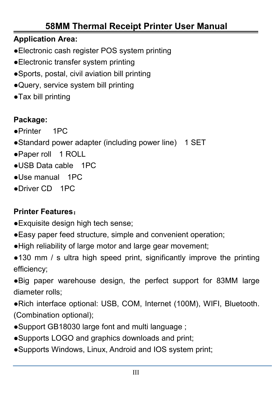#### **Application Area:**

- ●Electronic cash register POS system printing
- ●Electronic transfer system printing
- ●Sports, postal, civil aviation bill printing
- ●Query, service system bill printing
- ●Tax bill printing

#### **Package:**

- ●Printer 1PC
- ●Standard power adapter (including power line) 1 SET
- ●Paper roll 1 ROLL
- ●USB Data cable 1PC
- ●Use manual 1PC
- ●Driver CD 1PC

#### **Printer Features**:

- ●Exquisite design high tech sense;
- ●Easy paper feed structure, simple and convenient operation;
- ●High reliability oflarge motor and large gear movement;

 $\bullet$ 130 mm / s ultra high speed print, significantly improve the printing efficiency;

●Big paper warehouse design, the perfect support for 83MM large diameter rolls;

●Rich interface optional: USB, COM, Internet (100M), WIFI, Bluetooth. (Combination optional);

- •Support GB18030 large font and multi language ;
- ●Supports LOGO and graphics downloads and print;
- ●Supports Windows, Linux, Android and IOS system print;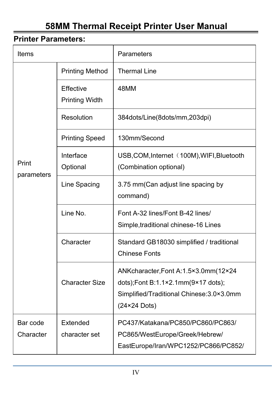#### **Printer Parameters:**

| Items                 |                                    | Parameters                                                                                                                               |  |
|-----------------------|------------------------------------|------------------------------------------------------------------------------------------------------------------------------------------|--|
| Print<br>parameters   | <b>Printing Method</b>             | <b>Thermal Line</b>                                                                                                                      |  |
|                       | Effective<br><b>Printing Width</b> | 48MM                                                                                                                                     |  |
|                       | Resolution                         | 384dots/Line(8dots/mm,203dpi)                                                                                                            |  |
|                       | <b>Printing Speed</b>              | 130mm/Second                                                                                                                             |  |
|                       | Interface<br>Optional              | USB, COM, Internet (100M), WIFI, Bluetooth<br>(Combination optional)                                                                     |  |
|                       | Line Spacing                       | 3.75 mm(Can adjust line spacing by<br>command)                                                                                           |  |
|                       | Line No.                           | Font A-32 lines/Font B-42 lines/<br>Simple, traditional chinese-16 Lines                                                                 |  |
|                       | Character                          | Standard GB18030 simplified / traditional<br><b>Chinese Fonts</b>                                                                        |  |
|                       | <b>Character Size</b>              | ANKcharacter, Font A:1.5×3.0mm (12×24<br>dots);Font B:1.1×2.1mm(9×17 dots);<br>Simplified/Traditional Chinese: 3.0×3.0mm<br>(24×24 Dots) |  |
| Bar code<br>Character | Extended<br>character set          | PC437/Katakana/PC850/PC860/PC863/<br>PC865/WestEurope/Greek/Hebrew/<br>EastEurope/Iran/WPC1252/PC866/PC852/                              |  |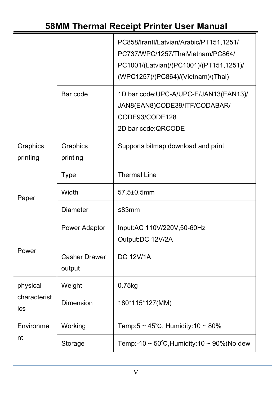|                                 |                                                            | PC858/IranII/Latvian/Arabic/PT151,1251/<br>PC737/WPC/1257/ThaiVietnam/PC864/<br>PC1001/(Latvian)/(PC1001)/(PT151,1251)/<br>(WPC1257)/(PC864)/(Vietnam)/(Thai) |
|---------------------------------|------------------------------------------------------------|---------------------------------------------------------------------------------------------------------------------------------------------------------------|
|                                 | Bar code                                                   | 1D bar code: UPC-A/UPC-E/JAN13(EAN13)/<br>JAN8(EAN8)CODE39/ITF/CODABAR/<br>CODE93/CODE128<br>2D bar code:QRCODE                                               |
| Graphics<br>printing            | Graphics<br>Supports bitmap download and print<br>printing |                                                                                                                                                               |
| Paper                           | Type                                                       | <b>Thermal Line</b>                                                                                                                                           |
|                                 | Width                                                      | 57.5±0.5mm                                                                                                                                                    |
|                                 | <b>Diameter</b>                                            | ≤83mm                                                                                                                                                         |
| Power                           | Power Adaptor                                              | Input:AC 110V/220V,50-60Hz<br>Output:DC 12V/2A                                                                                                                |
|                                 | <b>Casher Drawer</b><br>output                             | <b>DC 12V/1A</b>                                                                                                                                              |
| physical<br>characterist<br>ics | Weight                                                     | $0.75$ kg                                                                                                                                                     |
|                                 | Dimension                                                  | 180*115*127(MM)                                                                                                                                               |
| Environme<br>nt                 | Working                                                    | Temp:5 ~ $45^{\circ}$ C, Humidity:10 ~ 80%                                                                                                                    |
|                                 | Storage                                                    | Temp:-10 ~ $50^{\circ}$ C, Humidity:10 ~ 90%(No dew                                                                                                           |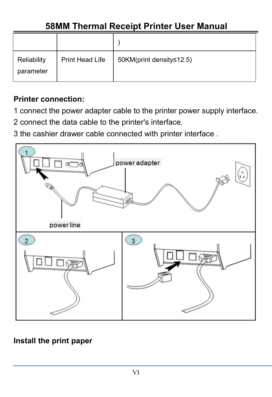| Reliability<br>parameter | Print Head Life | 50KM(print density≤12.5) |
|--------------------------|-----------------|--------------------------|

#### **Printer connection:**

1 connect the power adapter cable to the printer power supply interface.

- 2 connect the data cable to the printer's interface.
- 3 the cashier drawer cable connected with printer interface .



#### **Install the print paper**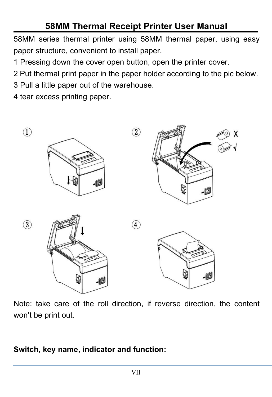58MM series thermal printer using 58MM thermal paper, using easy paper structure, convenient to install paper.

1 Pressing down the cover open button, open the printer cover.

2 Put thermal print paper in the paper holder according to the pic below.

3 Pull a little paper out of the warehouse.

4 tear excess printing paper.



Note: take care of the roll direction, if reverse direction, the content won't be print out.

#### **Switch, key name, indicator and function:**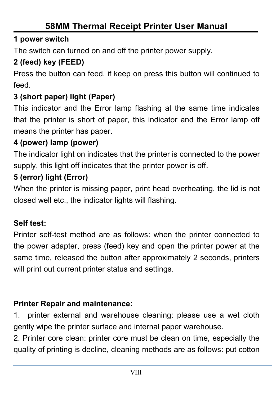#### **1 powerswitch**

The switch can turned on and off the printer power supply.

#### **2 (feed) key (FEED)**

Press the button can feed, if keep on press this button will continued to feed.

#### **3 (short paper) light (Paper)**

This indicator and the Error lamp flashing at the same time indicates that the printer is short of paper, this indicator and the Error lamp off means the printer has paper.

#### **4 (power) lamp (power)**

The indicator light on indicates that the printer is connected to the power supply, this light off indicates that the printer power is off.

#### **5 (error) light (Error)**

When the printer is missing paper, print head overheating, the lid is not closed well etc., the indicator lights will flashing.

#### **Self test:**

Printer self-test method are as follows: when the printer connected to the power adapter, press (feed) key and open the printer power at the same time, released the button after approximately 2 seconds, printers will print out current printer status and settings.

#### **Printer Repair and maintenance:**

1. printer external and warehouse cleaning: please use a wet cloth gently wipe the printer surface and internal paper warehouse.

2. Printer core clean: printer core must be clean on time, especially the quality of printing is decline, cleaning methods are as follows: put cotton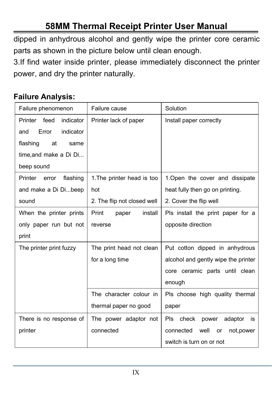dipped in anhydrous alcohol and gently wipe the printer core ceramic parts as shown in the picture below until clean enough.

3.If find water inside printer, please immediately disconnect the printer power, and dry the printer naturally.

#### **Failure Analysis:**

| Failure phenomenon           | Failure cause               | Solution                              |
|------------------------------|-----------------------------|---------------------------------------|
| indicator<br>Printer feed    | Printer lack of paper       | Install paper correctly               |
| Error<br>indicator<br>and    |                             |                                       |
| flashing<br>at<br>same       |                             |                                       |
| time, and make a Di Di       |                             |                                       |
| beep sound                   |                             |                                       |
| Printer<br>flashing<br>error | 1. The printer head is too  | 1. Open the cover and dissipate       |
| and make a Di Dibeep         | hot                         | heat fully then go on printing.       |
| sound                        | 2. The flip not closed well | 2. Cover the flip well                |
| When the printer prints      | Print<br>install<br>paper   | Pls install the print paper for a     |
| only paper run but not       | reverse                     | opposite direction                    |
| print                        |                             |                                       |
| The printer print fuzzy      | The print head not clean    | Put cotton dipped in anhydrous        |
|                              | for a long time             | alcohol and gently wipe the printer   |
|                              |                             | core ceramic parts until clean        |
|                              |                             | enough                                |
|                              | The character colour in     | Pls choose high quality thermal       |
|                              | thermal paper no good       | paper                                 |
| There is no response of      | The power adaptor not       | Pls check power<br>adaptor is         |
| printer                      | connected                   | well<br>not, power<br>connected<br>or |
|                              |                             | switch is turn on or not              |
|                              |                             |                                       |